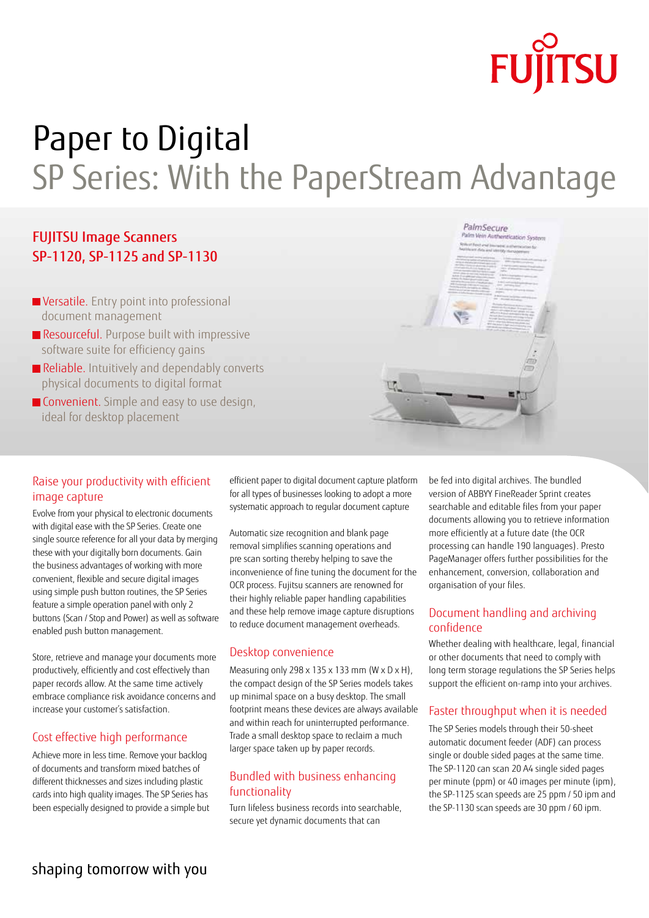

# Paper to Digital SP Series: With the PaperStream Advantage

#### FUJITSU Image Scanners SP-1120, SP-1125 and SP-1130

- **Versatile.** Entry point into professional document management
- **Resourceful.** Purpose built with impressive software suite for efficiency gains
- Reliable. Intuitively and dependably converts physical documents to digital format
- Convenient. Simple and easy to use design, ideal for desktop placement



#### Raise your productivity with efficient image capture

Evolve from your physical to electronic documents with digital ease with the SP Series. Create one single source reference for all your data by merging these with your digitally born documents. Gain the business advantages of working with more convenient, flexible and secure digital images using simple push button routines, the SP Series feature a simple operation panel with only 2 buttons (Scan / Stop and Power) as well as software enabled push button management.

Store, retrieve and manage your documents more productively, efficiently and cost effectively than paper records allow. At the same time actively embrace compliance risk avoidance concerns and increase your customer's satisfaction.

#### Cost effective high performance

Achieve more in less time. Remove your backlog of documents and transform mixed batches of different thicknesses and sizes including plastic cards into high quality images. The SP Series has been especially designed to provide a simple but efficient paper to digital document capture platform for all types of businesses looking to adopt a more systematic approach to regular document capture

Automatic size recognition and blank page removal simplifies scanning operations and pre scan sorting thereby helping to save the inconvenience of fine tuning the document for the OCR process. Fujitsu scanners are renowned for their highly reliable paper handling capabilities and these help remove image capture disruptions to reduce document management overheads.

#### Desktop convenience

Measuring only 298  $\times$  135  $\times$  133 mm (W  $\times$  D  $\times$  H), the compact design of the SP Series models takes up minimal space on a busy desktop. The small footprint means these devices are always available and within reach for uninterrupted performance. Trade a small desktop space to reclaim a much larger space taken up by paper records.

#### Bundled with business enhancing functionality

Turn lifeless business records into searchable, secure yet dynamic documents that can

be fed into digital archives. The bundled version of ABBYY FineReader Sprint creates searchable and editable files from your paper documents allowing you to retrieve information more efficiently at a future date (the OCR processing can handle 190 languages). Presto PageManager offers further possibilities for the enhancement, conversion, collaboration and organisation of your files.

#### Document handling and archiving confidence

Whether dealing with healthcare, legal, financial or other documents that need to comply with long term storage regulations the SP Series helps support the efficient on-ramp into your archives.

#### Faster throughput when it is needed

The SP Series models through their 50-sheet automatic document feeder (ADF) can process single or double sided pages at the same time. The SP-1120 can scan 20 A4 single sided pages per minute (ppm) or 40 images per minute (ipm), the SP-1125 scan speeds are 25 ppm / 50 ipm and the SP-1130 scan speeds are 30 ppm / 60 ipm.